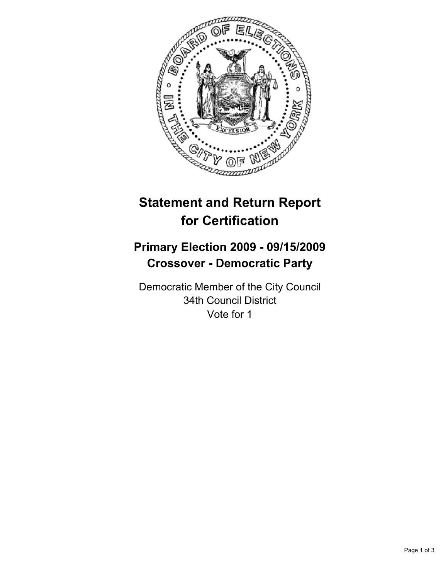

# **Statement and Return Report for Certification**

## **Primary Election 2009 - 09/15/2009 Crossover - Democratic Party**

Democratic Member of the City Council 34th Council District Vote for 1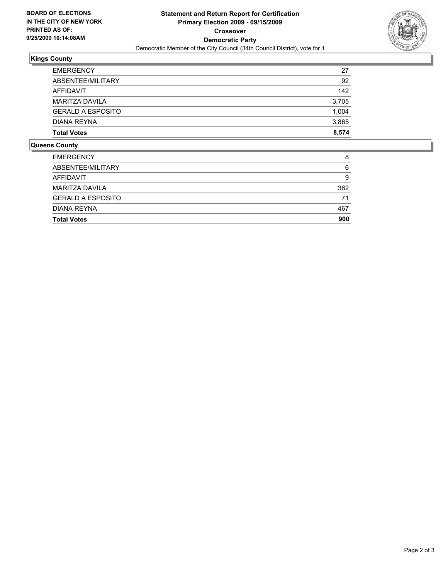

## **Kings County**

| <b>Total Votes</b>       | 8.574 |
|--------------------------|-------|
| DIANA REYNA              | 3,865 |
| <b>GERALD A ESPOSITO</b> | 1,004 |
| MARITZA DAVILA           | 3,705 |
| AFFIDAVIT                | 142   |
| ABSENTEE/MILITARY        | 92    |
| <b>EMERGENCY</b>         | 27    |

#### **Queens County**

| <b>EMERGENCY</b>         | 8   |
|--------------------------|-----|
| ABSENTEE/MILITARY        | 6   |
| AFFIDAVIT                | 9   |
| <b>MARITZA DAVILA</b>    | 362 |
| <b>GERALD A ESPOSITO</b> | 71  |
| DIANA REYNA              | 467 |
| <b>Total Votes</b>       | 900 |